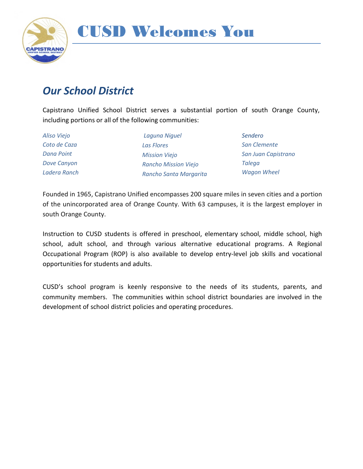

#### *Our School District*

Capistrano Unified School District serves a substantial portion of south Orange County, including portions or all of the following communities:

*Aliso Viejo Coto de Caza Dana Point Dove Canyon Ladera Ranch*

*Laguna Niguel Las Flores Mission Viejo Rancho Mission Viejo Rancho Santa Margarita* *Sendero San Clemente San Juan Capistrano Talega Wagon Wheel*

Founded in 1965, Capistrano Unified encompasses 200 square miles in seven cities and a portion of the unincorporated area of Orange County. With 63 campuses, it is the largest employer in south Orange County.

Instruction to CUSD students is offered in preschool, elementary school, middle school, high school, adult school, and through various alternative educational programs. A Regional Occupational Program (ROP) is also available to develop entry-level job skills and vocational opportunities for students and adults.

CUSD's school program is keenly responsive to the needs of its students, parents, and community members. The communities within school district boundaries are involved in the development of school district policies and operating procedures.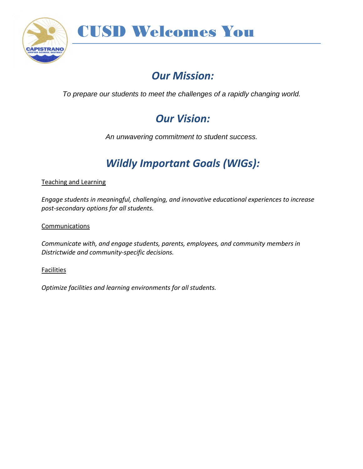

### *Our Mission:*

*To prepare our students to meet the challenges of a rapidly changing world.*

### *Our Vision:*

*An unwavering commitment to student success.*

### *Wildly Important Goals (WIGs):*

Teaching and Learning

*Engage students in meaningful, challenging, and innovative educational experiences to increase post-secondary options for all students.*

**Communications** 

*Communicate with, and engage students, parents, employees, and community members in Districtwide and community-specific decisions.*

**Facilities** 

*Optimize facilities and learning environments for all students.*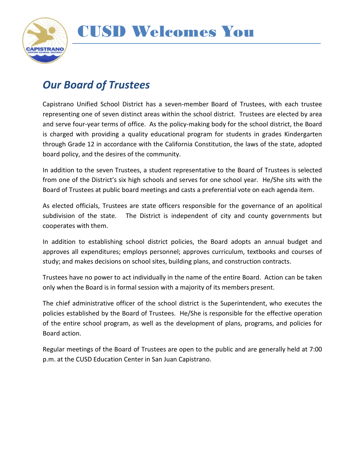

#### *Our Board of Trustees*

Capistrano Unified School District has a seven-member Board of Trustees, with each trustee representing one of seven distinct areas within the school district. Trustees are elected by area and serve four-year terms of office. As the policy-making body for the school district, the Board is charged with providing a quality educational program for students in grades Kindergarten through Grade 12 in accordance with the California Constitution, the laws of the state, adopted board policy, and the desires of the community.

In addition to the seven Trustees, a student representative to the Board of Trustees is selected from one of the District's six high schools and serves for one school year. He/She sits with the Board of Trustees at public board meetings and casts a preferential vote on each agenda item.

As elected officials, Trustees are state officers responsible for the governance of an apolitical subdivision of the state. The District is independent of city and county governments but cooperates with them.

In addition to establishing school district policies, the Board adopts an annual budget and approves all expenditures; employs personnel; approves curriculum, textbooks and courses of study; and makes decisions on school sites, building plans, and construction contracts.

Trustees have no power to act individually in the name of the entire Board. Action can be taken only when the Board is in formal session with a majority of its members present.

The chief administrative officer of the school district is the Superintendent, who executes the policies established by the Board of Trustees. He/She is responsible for the effective operation of the entire school program, as well as the development of plans, programs, and policies for Board action.

Regular meetings of the Board of Trustees are open to the public and are generally held at 7:00 p.m. at the CUSD Education Center in San Juan Capistrano.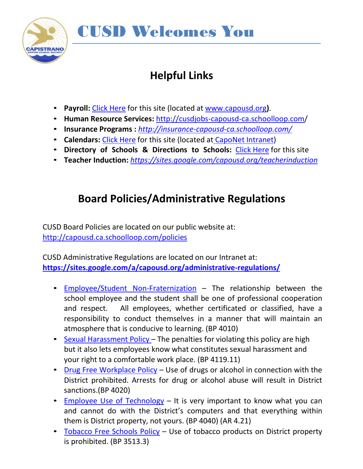

## **Helpful Links**

- **Payroll:** Click [Here](http://capousd.ca.schoolloop.com/cms/page_view?d=x&piid&vpid=1221873525074) for this site (located at [www.capousd.org](http://www.capousd.org/)**)**.
- **Human Resource Services:** <http://cusdjobs-capousd-ca.schoolloop.com/>
- **Insurance Programs :** *<http://insurance-capousd-ca.schoolloop.com/>*
- **Calendars:** Click [Here](http://capousd.ca.schoolloop.com/pf4/cms2/view_page?d=x&group_id=1514016268895&vdid=i10b1qcopu1dk) for this site (located at [CapoNet](https://sites.google.com/a/capousd.org/cusd-calendars/) Intranet)
- **Directory of Schools & Directions to Schools:** Click [Here](http://capousd.ca.schoolloop.com/) for this site
- **Teacher Induction:** *<https://sites.google.com/capousd.org/teacherinduction>*

### **Board Policies/Administrative Regulations**

CUSD Board Policies are located on our public website at: <http://capousd.ca.schoolloop.com/policies>

CUSD Administrative Regulations are located on our Intranet at: **<https://sites.google.com/a/capousd.org/administrative-regulations/>**

- Employee/Student [Non-Fraternization](http://links.schoolloop.com/link/rd?href=736c5f6c696e6b6666303163633065623266687474703a2f2f6361706f7573642e63612e7363686f6f6c6c6f6f702e636f6d2f66696c652f313231383939383836343135342f373238373833373233373838323931383034302e706466) The relationship between the school employee and the student shall be one of professional cooperation and respect. All employees, whether certificated or classified, have a responsibility to conduct themselves in a manner that will maintain an atmosphere that is conducive to learning. (BP 4010)
- Sexual [Harassment Policy](http://links.schoolloop.com/link/rd?href=736c5f6c696e6b6666303163633065623266687474703a2f2f6361706f7573642e63612e7363686f6f6c6c6f6f702e636f6d2f66696c652f313231383939383836343135342f363537333730393032373332333734343731332e706466) The penalties for violating this policy are high but it also lets employees know what constitutes sexual harassment and your right to a comfortable work place. (BP 4119.11)
- Drug Free [Workplace](http://links.schoolloop.com/link/rd?href=736c5f6c696e6b6666303163633065623266687474703a2f2f6361706f7573642e63612e7363686f6f6c6c6f6f702e636f6d2f66696c652f313231383939383836343135342f313931343636313033333532313732343531342e706466) Policy Use of drugs or alcohol in connection with the District prohibited. Arrests for drug or alcohol abuse will result in District sanctions.(BP 4020)
- Employee Use of [Technology](http://links.schoolloop.com/link/rd?href=736c5f6c696e6b6666303163633065623266687474703a2f2f6361706f7573642e63612e7363686f6f6c6c6f6f702e636f6d2f66696c652f313231383939383836343135342f3936373436343335353532303734333735372e706466) It is very important to know what you can and cannot do with the District's computers and that everything within them is District property, not yours. (BP 4040) (AR 4.21)
- [Tobacco](http://links.schoolloop.com/link/rd?href=736c5f6c696e6b6666303163633065623266687474703a2f2f6361706f7573642e63612e7363686f6f6c6c6f6f702e636f6d2f66696c652f313231383939383836343135342f373836333236373631343837343637393938342e706466) Free Schools Policy Use of tobacco products on District property is prohibited. (BP 3513.3)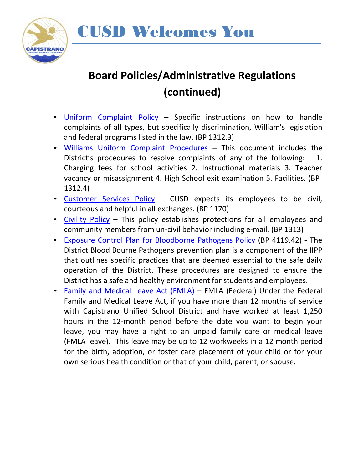



## **Board Policies/Administrative Regulations (continued)**

- [Uniform Complaint Policy](http://links.schoolloop.com/link/rd?href=736c5f6c696e6b6666303163633065623266687474703a2f2f6361706f7573642e63612e7363686f6f6c6c6f6f702e636f6d2f66696c652f313231383939383836343135342f373031333338323934393731313137363637312e706466) Specific instructions on how to handle complaints of all types, but specifically discrimination, William's legislation and federal programs listed in the law. (BP 1312.3)
- Williams [Uniform Complaint](http://capousd.ca.schoolloop.com/file/1229223334452/1218998864154/4735332070155712117.pdf) Procedures This document includes the District's procedures to resolve complaints of any of the following: 1. Charging fees for school activities 2. Instructional materials 3. Teacher vacancy or misassignment 4. High School exit examination 5. Facilities. (BP 1312.4)
- [Customer Services Policy](http://links.schoolloop.com/link/rd?href=736c5f6c696e6b6666303163633065623266687474703a2f2f6361706f7573642e63612e7363686f6f6c6c6f6f702e636f6d2f66696c652f313231383939383836343135342f343938393130363038303239373838333531302e706466) CUSD expects its employees to be civil, courteous and helpful in all exchanges. (BP 1170)
- [Civility](http://links.schoolloop.com/link/rd?href=736c5f6c696e6b6666303163633065623266687474703a2f2f6361706f7573642e63612e7363686f6f6c6c6f6f702e636f6d2f66696c652f313231383939383836343135342f333535363338333139303139303730373738342e706466) Policy This policy establishes protections for all employees and community members from un-civil behavior including e-mail. (BP 1313)
- Exposure Control Plan for [Bloodborne](http://links.schoolloop.com/link/rd?href=736c5f6c696e6b6666303163633065623266687474703a2f2f6361706f7573642e63612e7363686f6f6c6c6f6f702e636f6d2f66696c652f313231383939383836343135342f323133363634393838343132393439373035332e706466) Pathogens Policy (BP 4119.42) The District Blood Bourne Pathogens prevention plan is a component of the IIPP that outlines specific practices that are deemed essential to the safe daily operation of the District. These procedures are designed to ensure the District has a safe and healthy environment for students and employees.
- Family and [Medical](https://drive.google.com/file/d/0B7no0GfL-TcgcGJkOXpLeFc2OVU/view) Leave Act (FMLA) FMLA (Federal) Under the Federal Family and Medical Leave Act, if you have more than 12 months of service with Capistrano Unified School District and have worked at least 1,250 hours in the 12-month period before the date you want to begin your leave, you may have a right to an unpaid family care or medical leave (FMLA leave). This leave may be up to 12 workweeks in a 12 month period for the birth, adoption, or foster care placement of your child or for your own serious health condition or that of your child, parent, or spouse.